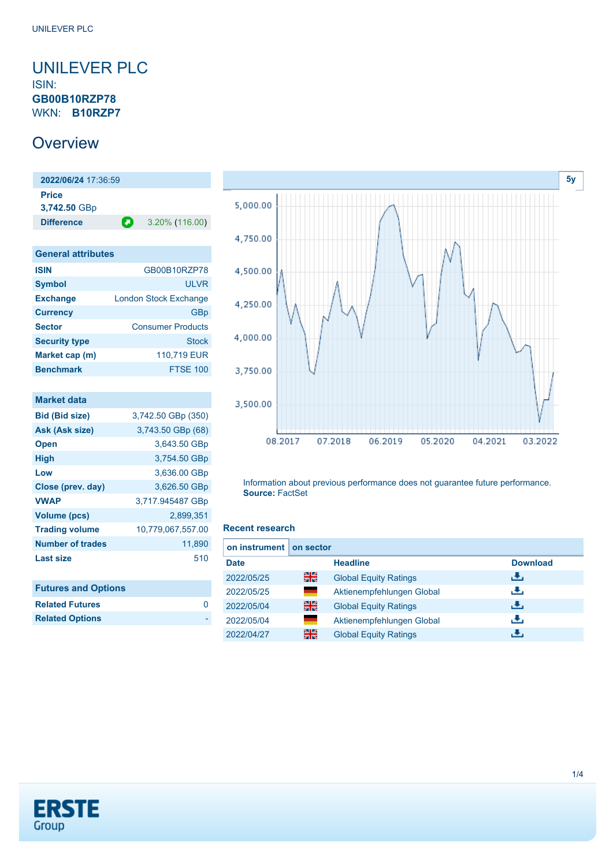### <span id="page-0-0"></span>UNILEVER PLC ISIN: **GB00B10RZP78** WKN: **B10RZP7**

## **Overview**

**2022/06/24** 17:36:59 **Price 3,742.50** GBp **Difference** 3.20% (116.00)

| <b>General attributes</b> |                              |  |
|---------------------------|------------------------------|--|
| <b>ISIN</b>               | GB00B10RZP78                 |  |
| <b>Symbol</b>             | <b>ULVR</b>                  |  |
| <b>Exchange</b>           | <b>London Stock Exchange</b> |  |
| <b>Currency</b>           | GBp                          |  |
| <b>Sector</b>             | <b>Consumer Products</b>     |  |
| <b>Security type</b>      | Stock                        |  |
| Market cap (m)            | 110,719 EUR                  |  |
| <b>Benchmark</b>          | <b>FTSE 100</b>              |  |

| <b>Market data</b>         |                    |
|----------------------------|--------------------|
| <b>Bid (Bid size)</b>      | 3,742.50 GBp (350) |
| Ask (Ask size)             | 3,743.50 GBp (68)  |
| <b>Open</b>                | 3,643.50 GBp       |
| High                       | 3,754.50 GBp       |
| Low                        | 3,636.00 GBp       |
| Close (prev. day)          | 3,626.50 GBp       |
| <b>VWAP</b>                | 3,717.945487 GBp   |
| Volume (pcs)               | 2.899.351          |
| <b>Trading volume</b>      | 10,779,067,557.00  |
| Number of trades           | 11.890             |
| Last size                  | 510                |
|                            |                    |
| <b>Futures and Options</b> |                    |

**Related Futures** [0](https://de.products.erstegroup.com/CorporateClients/en/Dispatcher/SearchDispatcher/Market/future/index.phtml?ID_INSTRUMENT_CLASS_FUTURE=17942059)



Information about previous performance does not guarantee future performance. **Source:** FactSet

#### **Recent research**

| on instrument on sector |       |                              |                 |
|-------------------------|-------|------------------------------|-----------------|
| <b>Date</b>             |       | <b>Headline</b>              | <b>Download</b> |
| 2022/05/25              | 을중    | <b>Global Equity Ratings</b> | æ,              |
| 2022/05/25              | a a   | Aktienempfehlungen Global    | æ,              |
| 2022/05/04              | 을중    | <b>Global Equity Ratings</b> | æ,              |
| 2022/05/04              | and a | Aktienempfehlungen Global    | υ.              |
| 2022/04/27              | 을중    | <b>Global Equity Ratings</b> |                 |



**Related Options**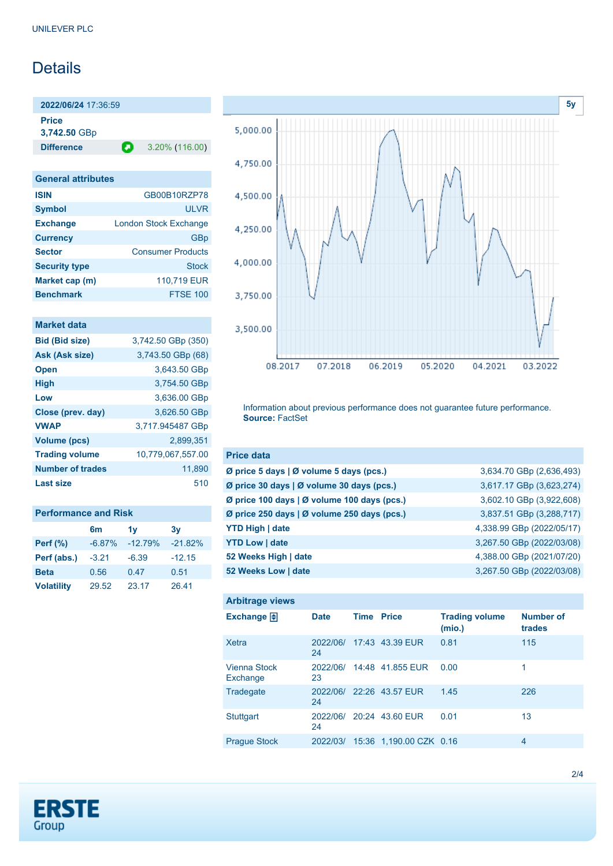## **Details**

**2022/06/24** 17:36:59

**Price**

**3,742.50** GBp

**Difference 2** 3.20% (116.00)

#### **General attributes**

| <b>ISIN</b>          | GB00B10RZP78                 |
|----------------------|------------------------------|
| <b>Symbol</b>        | <b>ULVR</b>                  |
| <b>Exchange</b>      | <b>London Stock Exchange</b> |
| <b>Currency</b>      | GBp                          |
| <b>Sector</b>        | <b>Consumer Products</b>     |
| <b>Security type</b> | <b>Stock</b>                 |
| Market cap (m)       | 110,719 EUR                  |
| <b>Benchmark</b>     | <b>FTSE 100</b>              |

| <b>Market data</b>      |                    |
|-------------------------|--------------------|
| <b>Bid (Bid size)</b>   | 3,742.50 GBp (350) |
| Ask (Ask size)          | 3,743.50 GBp (68)  |
| <b>Open</b>             | 3,643.50 GBp       |
| <b>High</b>             | 3,754.50 GBp       |
| Low                     | 3,636.00 GBp       |
| Close (prev. day)       | 3,626.50 GBp       |
| <b>VWAP</b>             | 3,717.945487 GBp   |
| Volume (pcs)            | 2.899.351          |
| <b>Trading volume</b>   | 10,779,067,557.00  |
| <b>Number of trades</b> | 11,890             |
| <b>Last size</b>        | 510                |

| <b>Performance and Risk</b> |          |           |           |  |
|-----------------------------|----------|-----------|-----------|--|
|                             | 6m       | 1v        | 3v        |  |
| <b>Perf (%)</b>             | $-6.87%$ | $-12.79%$ | $-21.82%$ |  |
| Perf (abs.)                 | $-3.21$  | $-6.39$   | $-12.15$  |  |
| <b>Beta</b>                 | 0.56     | 0.47      | 0.51      |  |
| <b>Volatility</b>           | 29.52    | 23.17     | 26.41     |  |



Information about previous performance does not guarantee future performance. **Source:** FactSet

| <b>Price data</b>                           |                           |
|---------------------------------------------|---------------------------|
| Ø price 5 days   Ø volume 5 days (pcs.)     | 3,634.70 GBp (2,636,493)  |
| Ø price 30 days   Ø volume 30 days (pcs.)   | 3,617.17 GBp (3,623,274)  |
| Ø price 100 days   Ø volume 100 days (pcs.) | 3,602.10 GBp (3,922,608)  |
| Ø price 250 days   Ø volume 250 days (pcs.) | 3,837.51 GBp (3,288,717)  |
| <b>YTD High   date</b>                      | 4,338.99 GBp (2022/05/17) |
| <b>YTD Low   date</b>                       | 3,267.50 GBp (2022/03/08) |
| 52 Weeks High   date                        | 4,388.00 GBp (2021/07/20) |
| 52 Weeks Low   date                         | 3,267.50 GBp (2022/03/08) |

| <b>Arbitrage views</b>          |                |                   |                          |                                 |                            |
|---------------------------------|----------------|-------------------|--------------------------|---------------------------------|----------------------------|
| Exchange $\bigoplus$            | <b>Date</b>    | <b>Time Price</b> |                          | <b>Trading volume</b><br>(mio.) | <b>Number of</b><br>trades |
| Xetra                           | 2022/06/<br>24 |                   | 17:43 43.39 EUR          | 0.81                            | 115                        |
| <b>Vienna Stock</b><br>Exchange | 2022/06/<br>23 |                   | 14:48 41.855 EUR         | 0.00                            | 1                          |
| Tradegate                       | 2022/06/<br>24 |                   | 22:26 43.57 EUR          | 1.45                            | 226                        |
| <b>Stuttgart</b>                | 24             |                   | 2022/06/ 20:24 43.60 EUR | 0.01                            | 13                         |
| <b>Praque Stock</b>             | 2022/03/       |                   | 15:36 1.190.00 CZK 0.16  |                                 | $\overline{4}$             |

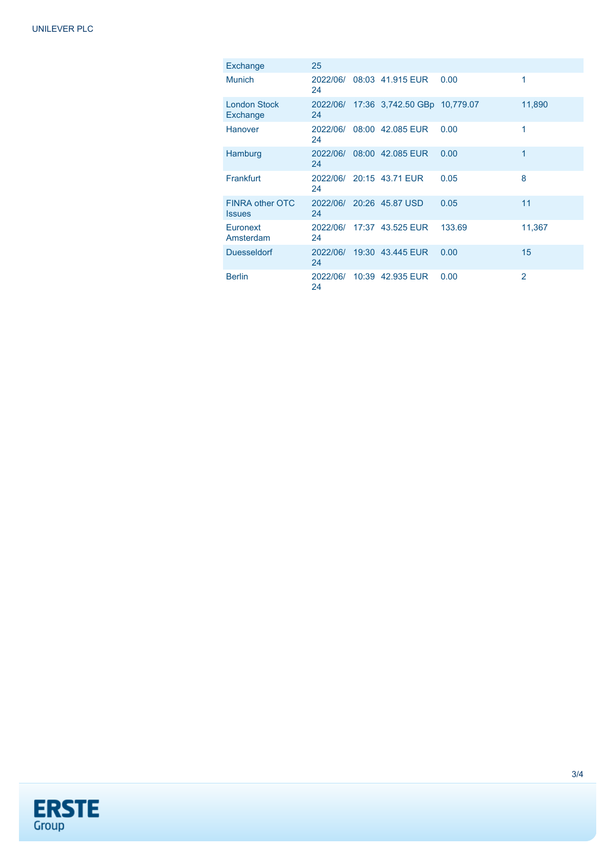| Exchange                                | 25             |                                       |        |                |
|-----------------------------------------|----------------|---------------------------------------|--------|----------------|
| <b>Munich</b>                           | 24             | 2022/06/ 08:03 41.915 EUR             | 0.00   | 1              |
| <b>London Stock</b><br>Exchange         | 24             | 2022/06/ 17:36 3,742.50 GBp 10,779.07 |        | 11,890         |
| Hanover                                 | 2022/06/<br>24 | 08:00 42.085 EUR                      | 0.00   | 1              |
| Hamburg                                 | 24             | 2022/06/ 08:00 42.085 EUR             | 0.00   | 1              |
| Frankfurt                               | 24             | 2022/06/ 20:15 43.71 EUR              | 0.05   | 8              |
| <b>FINRA other OTC</b><br><b>Issues</b> | 24             | 2022/06/ 20:26 45.87 USD              | 0.05   | 11             |
| Euronext<br>Amsterdam                   | 24             | 2022/06/ 17:37 43.525 EUR             | 133.69 | 11,367         |
| <b>Duesseldorf</b>                      | 24             | 2022/06/ 19:30 43.445 EUR             | 0.00   | 15             |
| <b>Berlin</b>                           | 24             | 2022/06/ 10:39 42.935 EUR             | 0.00   | $\overline{2}$ |